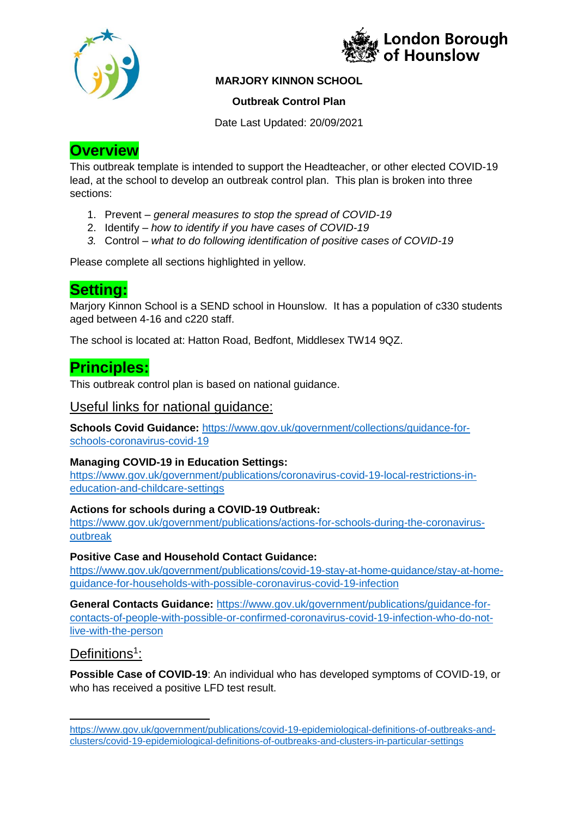



### **MARJORY KINNON SCHOOL**

#### **Outbreak Control Plan**

Date Last Updated: 20/09/2021

# **Overview**

This outbreak template is intended to support the Headteacher, or other elected COVID-19 lead, at the school to develop an outbreak control plan. This plan is broken into three sections:

- 1. Prevent *general measures to stop the spread of COVID-19*
- 2. Identify *how to identify if you have cases of COVID-19*
- *3.* Control *what to do following identification of positive cases of COVID-19*

Please complete all sections highlighted in yellow.

# **Setting:**

Marjory Kinnon School is a SEND school in Hounslow. It has a population of c330 students aged between 4-16 and c220 staff.

The school is located at: Hatton Road, Bedfont, Middlesex TW14 9QZ.

## **Principles:**

This outbreak control plan is based on national guidance.

## Useful links for national guidance:

**Schools Covid Guidance:** https://www.gov.uk/government/collections/guidance-forschools-coronavirus-covid-19

#### **Managing COVID-19 in Education Settings:**

https://www.gov.uk/government/publications/coronavirus-covid-19-local-restrictions-ineducation-and-childcare-settings

#### **Actions for schools during a COVID-19 Outbreak:**

https://www.gov.uk/government/publications/actions-for-schools-during-the-coronavirusoutbreak

#### **Positive Case and Household Contact Guidance:**

https://www.gov.uk/government/publications/covid-19-stay-at-home-guidance/stay-at-homeguidance-for-households-with-possible-coronavirus-covid-19-infection

**General Contacts Guidance:** https://www.gov.uk/government/publications/guidance-forcontacts-of-people-with-possible-or-confirmed-coronavirus-covid-19-infection-who-do-notlive-with-the-person

## Definitions<sup>1</sup>:

-

**Possible Case of COVID-19**: An individual who has developed symptoms of COVID-19, or who has received a positive LFD test result.

https://www.gov.uk/government/publications/covid-19-epidemiological-definitions-of-outbreaks-andclusters/covid-19-epidemiological-definitions-of-outbreaks-and-clusters-in-particular-settings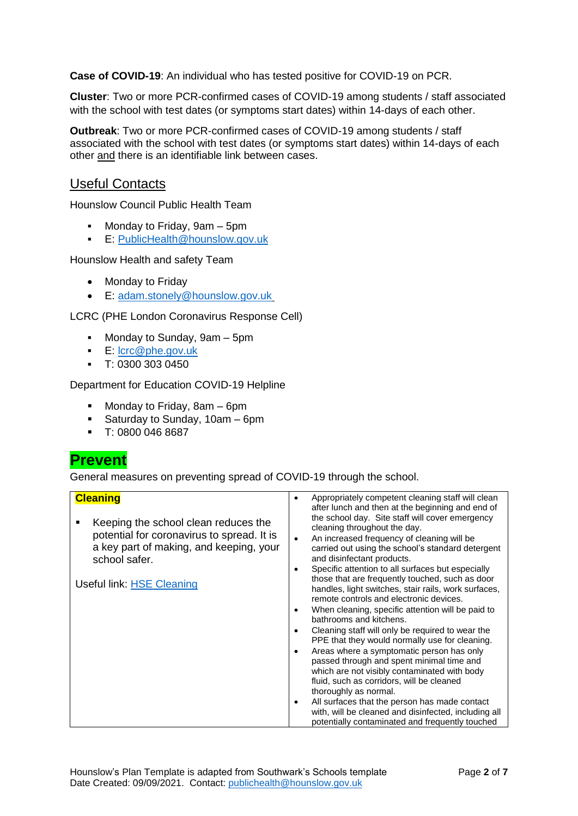**Case of COVID-19**: An individual who has tested positive for COVID-19 on PCR.

**Cluster**: Two or more PCR-confirmed cases of COVID-19 among students / staff associated with the school with test dates (or symptoms start dates) within 14-days of each other.

**Outbreak**: Two or more PCR-confirmed cases of COVID-19 among students / staff associated with the school with test dates (or symptoms start dates) within 14-days of each other and there is an identifiable link between cases.

### Useful Contacts

Hounslow Council Public Health Team

- Monday to Friday, 9am 5pm
- **E: PublicHealth@hounslow.gov.uk**

Hounslow Health and safety Team

- Monday to Friday
- E: adam.stonely@hounslow.gov.uk

LCRC (PHE London Coronavirus Response Cell)

- Monday to Sunday, 9am 5pm
- E: lcrc@phe.gov.uk
- $-$  T: 0300 303 0450

#### Department for Education COVID-19 Helpline

- **Monday to Friday, 8am 6pm**
- Saturday to Sunday, 10am 6pm
- T: 0800 046 8687

## **Prevent**

General measures on preventing spread of COVID-19 through the school.

| <b>Cleaning</b><br>Keeping the school clean reduces the<br>potential for coronavirus to spread. It is<br>a key part of making, and keeping, your<br>school safer. | Appropriately competent cleaning staff will clean<br>after lunch and then at the beginning and end of<br>the school day. Site staff will cover emergency<br>cleaning throughout the day.<br>An increased frequency of cleaning will be<br>carried out using the school's standard detergent<br>and disinfectant products.<br>Specific attention to all surfaces but especially                                                                                                                                                                                                                                                                                                                                       |
|-------------------------------------------------------------------------------------------------------------------------------------------------------------------|----------------------------------------------------------------------------------------------------------------------------------------------------------------------------------------------------------------------------------------------------------------------------------------------------------------------------------------------------------------------------------------------------------------------------------------------------------------------------------------------------------------------------------------------------------------------------------------------------------------------------------------------------------------------------------------------------------------------|
| Useful link: HSE Cleaning                                                                                                                                         | those that are frequently touched, such as door<br>handles, light switches, stair rails, work surfaces,<br>remote controls and electronic devices.<br>When cleaning, specific attention will be paid to<br>bathrooms and kitchens.<br>Cleaning staff will only be required to wear the<br>PPE that they would normally use for cleaning.<br>Areas where a symptomatic person has only<br>passed through and spent minimal time and<br>which are not visibly contaminated with body<br>fluid, such as corridors, will be cleaned<br>thoroughly as normal.<br>All surfaces that the person has made contact<br>with, will be cleaned and disinfected, including all<br>potentially contaminated and frequently touched |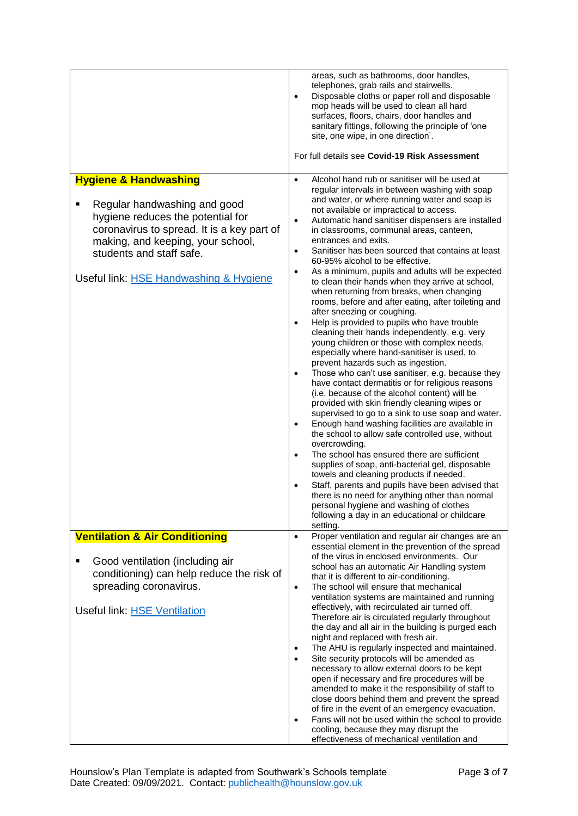|                                                                                                                                                                                                                            | areas, such as bathrooms, door handles,<br>telephones, grab rails and stairwells.<br>Disposable cloths or paper roll and disposable<br>$\bullet$<br>mop heads will be used to clean all hard<br>surfaces, floors, chairs, door handles and<br>sanitary fittings, following the principle of 'one<br>site, one wipe, in one direction'.<br>For full details see Covid-19 Risk Assessment                                                                                                                                                                                                                                                                                                                                                                                                                                                                                                                                                                                                                                                                                                                                                                                                                                                   |
|----------------------------------------------------------------------------------------------------------------------------------------------------------------------------------------------------------------------------|-------------------------------------------------------------------------------------------------------------------------------------------------------------------------------------------------------------------------------------------------------------------------------------------------------------------------------------------------------------------------------------------------------------------------------------------------------------------------------------------------------------------------------------------------------------------------------------------------------------------------------------------------------------------------------------------------------------------------------------------------------------------------------------------------------------------------------------------------------------------------------------------------------------------------------------------------------------------------------------------------------------------------------------------------------------------------------------------------------------------------------------------------------------------------------------------------------------------------------------------|
| <b>Hygiene &amp; Handwashing</b>                                                                                                                                                                                           | Alcohol hand rub or sanitiser will be used at<br>$\bullet$                                                                                                                                                                                                                                                                                                                                                                                                                                                                                                                                                                                                                                                                                                                                                                                                                                                                                                                                                                                                                                                                                                                                                                                |
| Regular handwashing and good<br>hygiene reduces the potential for<br>coronavirus to spread. It is a key part of<br>making, and keeping, your school,<br>students and staff safe.<br>Useful link: HSE Handwashing & Hygiene | regular intervals in between washing with soap<br>and water, or where running water and soap is<br>not available or impractical to access.<br>Automatic hand sanitiser dispensers are installed<br>$\bullet$<br>in classrooms, communal areas, canteen,<br>entrances and exits.<br>Sanitiser has been sourced that contains at least<br>$\bullet$<br>60-95% alcohol to be effective.<br>As a minimum, pupils and adults will be expected<br>$\bullet$<br>to clean their hands when they arrive at school,<br>when returning from breaks, when changing<br>rooms, before and after eating, after toileting and<br>after sneezing or coughing.<br>Help is provided to pupils who have trouble<br>$\bullet$<br>cleaning their hands independently, e.g. very<br>young children or those with complex needs,<br>especially where hand-sanitiser is used, to<br>prevent hazards such as ingestion.<br>Those who can't use sanitiser, e.g. because they<br>$\bullet$<br>have contact dermatitis or for religious reasons<br>(i.e. because of the alcohol content) will be<br>provided with skin friendly cleaning wipes or<br>supervised to go to a sink to use soap and water.<br>Enough hand washing facilities are available in<br>$\bullet$ |
|                                                                                                                                                                                                                            | the school to allow safe controlled use, without<br>overcrowding.<br>The school has ensured there are sufficient<br>$\bullet$<br>supplies of soap, anti-bacterial gel, disposable<br>towels and cleaning products if needed.                                                                                                                                                                                                                                                                                                                                                                                                                                                                                                                                                                                                                                                                                                                                                                                                                                                                                                                                                                                                              |
|                                                                                                                                                                                                                            | Staff, parents and pupils have been advised that<br>$\bullet$<br>there is no need for anything other than normal<br>personal hygiene and washing of clothes<br>following a day in an educational or childcare<br>setting.                                                                                                                                                                                                                                                                                                                                                                                                                                                                                                                                                                                                                                                                                                                                                                                                                                                                                                                                                                                                                 |
| <b>Ventilation &amp; Air Conditioning</b>                                                                                                                                                                                  | Proper ventilation and regular air changes are an<br>$\bullet$                                                                                                                                                                                                                                                                                                                                                                                                                                                                                                                                                                                                                                                                                                                                                                                                                                                                                                                                                                                                                                                                                                                                                                            |
| Good ventilation (including air<br>п<br>conditioning) can help reduce the risk of<br>spreading coronavirus.                                                                                                                | essential element in the prevention of the spread<br>of the virus in enclosed environments. Our<br>school has an automatic Air Handling system<br>that it is different to air-conditioning.<br>The school will ensure that mechanical<br>$\bullet$<br>ventilation systems are maintained and running                                                                                                                                                                                                                                                                                                                                                                                                                                                                                                                                                                                                                                                                                                                                                                                                                                                                                                                                      |
| <b>Useful link: HSE Ventilation</b>                                                                                                                                                                                        | effectively, with recirculated air turned off.<br>Therefore air is circulated regularly throughout<br>the day and all air in the building is purged each<br>night and replaced with fresh air.                                                                                                                                                                                                                                                                                                                                                                                                                                                                                                                                                                                                                                                                                                                                                                                                                                                                                                                                                                                                                                            |
|                                                                                                                                                                                                                            | The AHU is regularly inspected and maintained.<br>٠<br>Site security protocols will be amended as<br>$\bullet$<br>necessary to allow external doors to be kept<br>open if necessary and fire procedures will be<br>amended to make it the responsibility of staff to<br>close doors behind them and prevent the spread<br>of fire in the event of an emergency evacuation.<br>Fans will not be used within the school to provide<br>$\bullet$<br>cooling, because they may disrupt the<br>effectiveness of mechanical ventilation and                                                                                                                                                                                                                                                                                                                                                                                                                                                                                                                                                                                                                                                                                                     |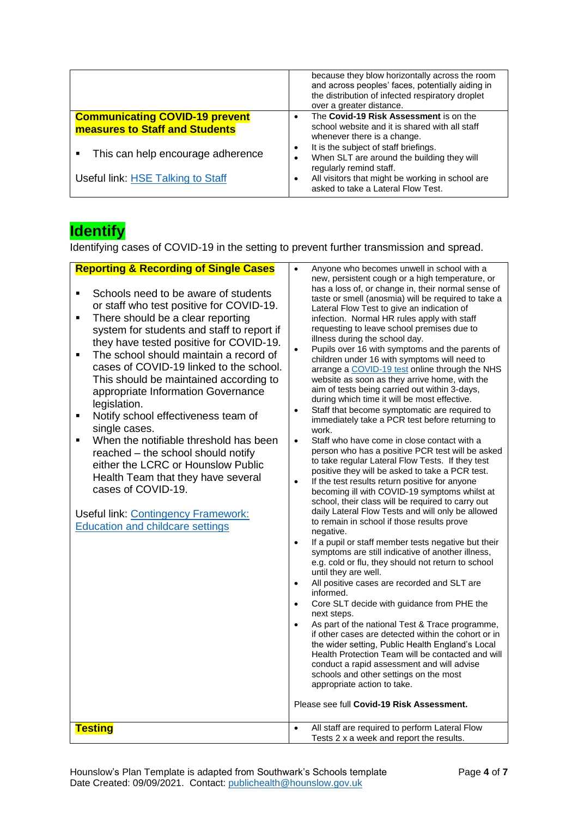|                                                                                | because they blow horizontally across the room<br>and across peoples' faces, potentially aiding in<br>the distribution of infected respiratory droplet<br>over a greater distance. |
|--------------------------------------------------------------------------------|------------------------------------------------------------------------------------------------------------------------------------------------------------------------------------|
| <b>Communicating COVID-19 prevent</b><br><b>measures to Staff and Students</b> | The Covid-19 Risk Assessment is on the<br>school website and it is shared with all staff                                                                                           |
| This can help encourage adherence<br>$\blacksquare$                            | whenever there is a change.<br>It is the subject of staff briefings.<br>When SLT are around the building they will<br>٠<br>regularly remind staff.                                 |
| Useful link: HSE Talking to Staff                                              | All visitors that might be working in school are<br>asked to take a Lateral Flow Test.                                                                                             |

# **Identify**

Identifying cases of COVID-19 in the setting to prevent further transmission and spread.

| <b>Reporting &amp; Recording of Single Cases</b><br>Schools need to be aware of students<br>٠<br>or staff who test positive for COVID-19.<br>There should be a clear reporting<br>$\blacksquare$<br>system for students and staff to report if<br>they have tested positive for COVID-19.<br>The school should maintain a record of<br>Ξ<br>cases of COVID-19 linked to the school.<br>This should be maintained according to<br>appropriate Information Governance<br>legislation.<br>Notify school effectiveness team of<br>Ξ<br>single cases.<br>When the notifiable threshold has been<br>reached - the school should notify<br>either the LCRC or Hounslow Public<br>Health Team that they have several<br>cases of COVID-19.<br><b>Useful link: Contingency Framework:</b><br><b>Education and childcare settings</b> | Anyone who becomes unwell in school with a<br>$\bullet$<br>new, persistent cough or a high temperature, or<br>has a loss of, or change in, their normal sense of<br>taste or smell (anosmia) will be required to take a<br>Lateral Flow Test to give an indication of<br>infection. Normal HR rules apply with staff<br>requesting to leave school premises due to<br>illness during the school day.<br>Pupils over 16 with symptoms and the parents of<br>children under 16 with symptoms will need to<br>arrange a COVID-19 test online through the NHS<br>website as soon as they arrive home, with the<br>aim of tests being carried out within 3-days,<br>during which time it will be most effective.<br>Staff that become symptomatic are required to<br>$\bullet$<br>immediately take a PCR test before returning to<br>work.<br>Staff who have come in close contact with a<br>$\bullet$<br>person who has a positive PCR test will be asked<br>to take regular Lateral Flow Tests. If they test<br>positive they will be asked to take a PCR test.<br>If the test results return positive for anyone<br>$\bullet$<br>becoming ill with COVID-19 symptoms whilst at<br>school, their class will be required to carry out<br>daily Lateral Flow Tests and will only be allowed<br>to remain in school if those results prove<br>negative.<br>If a pupil or staff member tests negative but their<br>$\bullet$<br>symptoms are still indicative of another illness,<br>e.g. cold or flu, they should not return to school<br>until they are well.<br>All positive cases are recorded and SLT are<br>$\bullet$<br>informed.<br>Core SLT decide with guidance from PHE the<br>$\bullet$<br>next steps.<br>As part of the national Test & Trace programme,<br>$\bullet$<br>if other cases are detected within the cohort or in<br>the wider setting, Public Health England's Local<br>Health Protection Team will be contacted and will<br>conduct a rapid assessment and will advise<br>schools and other settings on the most<br>appropriate action to take.<br>Please see full Covid-19 Risk Assessment. |
|-----------------------------------------------------------------------------------------------------------------------------------------------------------------------------------------------------------------------------------------------------------------------------------------------------------------------------------------------------------------------------------------------------------------------------------------------------------------------------------------------------------------------------------------------------------------------------------------------------------------------------------------------------------------------------------------------------------------------------------------------------------------------------------------------------------------------------|-----------------------------------------------------------------------------------------------------------------------------------------------------------------------------------------------------------------------------------------------------------------------------------------------------------------------------------------------------------------------------------------------------------------------------------------------------------------------------------------------------------------------------------------------------------------------------------------------------------------------------------------------------------------------------------------------------------------------------------------------------------------------------------------------------------------------------------------------------------------------------------------------------------------------------------------------------------------------------------------------------------------------------------------------------------------------------------------------------------------------------------------------------------------------------------------------------------------------------------------------------------------------------------------------------------------------------------------------------------------------------------------------------------------------------------------------------------------------------------------------------------------------------------------------------------------------------------------------------------------------------------------------------------------------------------------------------------------------------------------------------------------------------------------------------------------------------------------------------------------------------------------------------------------------------------------------------------------------------------------------------------------------------------------------------------------------------------------------------------------|
| <b>Testing</b>                                                                                                                                                                                                                                                                                                                                                                                                                                                                                                                                                                                                                                                                                                                                                                                                              | All staff are required to perform Lateral Flow<br>$\bullet$<br>Tests 2 x a week and report the results.                                                                                                                                                                                                                                                                                                                                                                                                                                                                                                                                                                                                                                                                                                                                                                                                                                                                                                                                                                                                                                                                                                                                                                                                                                                                                                                                                                                                                                                                                                                                                                                                                                                                                                                                                                                                                                                                                                                                                                                                         |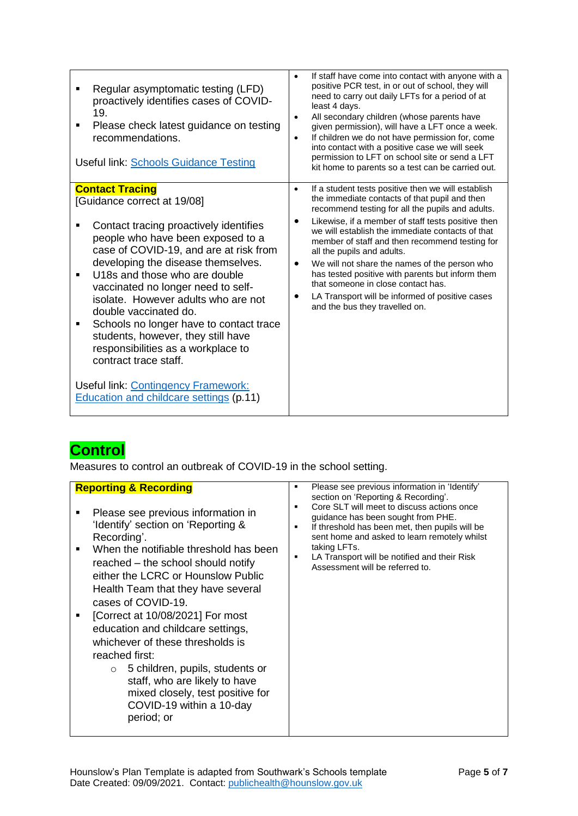| Regular asymptomatic testing (LFD)<br>proactively identifies cases of COVID-<br>19.<br>Please check latest guidance on testing<br>٠<br>recommendations.<br><b>Useful link: Schools Guidance Testing</b>                                                                                  | If staff have come into contact with anyone with a<br>positive PCR test, in or out of school, they will<br>need to carry out daily LFTs for a period of at<br>least 4 days.<br>All secondary children (whose parents have<br>$\bullet$<br>given permission), will have a LFT once a week.<br>If children we do not have permission for, come<br>$\bullet$<br>into contact with a positive case we will seek<br>permission to LFT on school site or send a LFT<br>kit home to parents so a test can be carried out. |
|------------------------------------------------------------------------------------------------------------------------------------------------------------------------------------------------------------------------------------------------------------------------------------------|--------------------------------------------------------------------------------------------------------------------------------------------------------------------------------------------------------------------------------------------------------------------------------------------------------------------------------------------------------------------------------------------------------------------------------------------------------------------------------------------------------------------|
| <b>Contact Tracing</b><br>[Guidance correct at 19/08]<br>Contact tracing proactively identifies<br>people who have been exposed to a<br>case of COVID-19, and are at risk from<br>developing the disease themselves.                                                                     | If a student tests positive then we will establish<br>$\bullet$<br>the immediate contacts of that pupil and then<br>recommend testing for all the pupils and adults.<br>Likewise, if a member of staff tests positive then<br>we will establish the immediate contacts of that<br>member of staff and then recommend testing for<br>all the pupils and adults.<br>We will not share the names of the person who<br>$\bullet$<br>has tested positive with parents but inform them                                   |
| U18s and those who are double<br>vaccinated no longer need to self-<br>isolate. However adults who are not<br>double vaccinated do.<br>Schools no longer have to contact trace<br>п<br>students, however, they still have<br>responsibilities as a workplace to<br>contract trace staff. | that someone in close contact has.<br>LA Transport will be informed of positive cases<br>and the bus they travelled on.                                                                                                                                                                                                                                                                                                                                                                                            |
| Useful link: Contingency Framework:<br>Education and childcare settings (p.11)                                                                                                                                                                                                           |                                                                                                                                                                                                                                                                                                                                                                                                                                                                                                                    |

# **Control**

Measures to control an outbreak of COVID-19 in the school setting.

| $\blacksquare$ | <b>Reporting &amp; Recording</b><br>Please see previous information in<br>'Identify' section on 'Reporting &<br>Recording'.<br>When the notifiable threshold has been<br>reached – the school should notify<br>either the LCRC or Hounslow Public<br>Health Team that they have several<br>cases of COVID-19. | ٠<br>٠<br>٠ | Please see previous information in 'Identify'<br>section on 'Reporting & Recording'.<br>Core SLT will meet to discuss actions once<br>guidance has been sought from PHE.<br>If threshold has been met, then pupils will be<br>sent home and asked to learn remotely whilst<br>taking LFTs.<br>LA Transport will be notified and their Risk<br>Assessment will be referred to. |
|----------------|---------------------------------------------------------------------------------------------------------------------------------------------------------------------------------------------------------------------------------------------------------------------------------------------------------------|-------------|-------------------------------------------------------------------------------------------------------------------------------------------------------------------------------------------------------------------------------------------------------------------------------------------------------------------------------------------------------------------------------|
|                | [Correct at 10/08/2021] For most<br>education and childcare settings,<br>whichever of these thresholds is<br>reached first:<br>5 children, pupils, students or<br>$\circ$<br>staff, who are likely to have<br>mixed closely, test positive for<br>COVID-19 within a 10-day<br>period; or                      |             |                                                                                                                                                                                                                                                                                                                                                                               |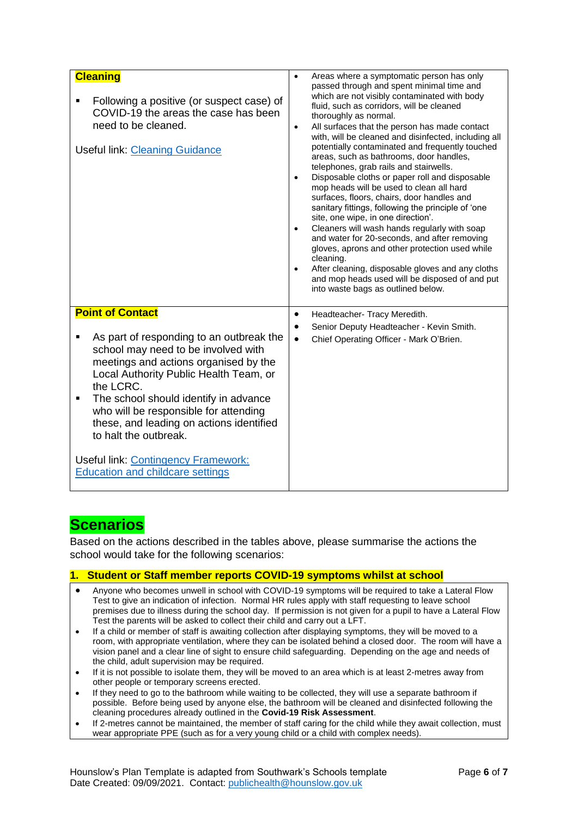| <b>Cleaning</b><br>Following a positive (or suspect case) of<br>COVID-19 the areas the case has been<br>need to be cleaned.<br><b>Useful link: Cleaning Guidance</b>                                                                                                                                                                                                                                                                                                 | Areas where a symptomatic person has only<br>$\bullet$<br>passed through and spent minimal time and<br>which are not visibly contaminated with body<br>fluid, such as corridors, will be cleaned<br>thoroughly as normal.<br>All surfaces that the person has made contact<br>$\bullet$<br>with, will be cleaned and disinfected, including all<br>potentially contaminated and frequently touched<br>areas, such as bathrooms, door handles,<br>telephones, grab rails and stairwells.<br>Disposable cloths or paper roll and disposable<br>$\bullet$<br>mop heads will be used to clean all hard<br>surfaces, floors, chairs, door handles and<br>sanitary fittings, following the principle of 'one<br>site, one wipe, in one direction'.<br>Cleaners will wash hands regularly with soap<br>$\bullet$<br>and water for 20-seconds, and after removing<br>gloves, aprons and other protection used while<br>cleaning.<br>After cleaning, disposable gloves and any cloths<br>$\bullet$<br>and mop heads used will be disposed of and put<br>into waste bags as outlined below. |
|----------------------------------------------------------------------------------------------------------------------------------------------------------------------------------------------------------------------------------------------------------------------------------------------------------------------------------------------------------------------------------------------------------------------------------------------------------------------|-----------------------------------------------------------------------------------------------------------------------------------------------------------------------------------------------------------------------------------------------------------------------------------------------------------------------------------------------------------------------------------------------------------------------------------------------------------------------------------------------------------------------------------------------------------------------------------------------------------------------------------------------------------------------------------------------------------------------------------------------------------------------------------------------------------------------------------------------------------------------------------------------------------------------------------------------------------------------------------------------------------------------------------------------------------------------------------|
| <b>Point of Contact</b><br>As part of responding to an outbreak the<br>п<br>school may need to be involved with<br>meetings and actions organised by the<br>Local Authority Public Health Team, or<br>the LCRC.<br>The school should identify in advance<br>٠<br>who will be responsible for attending<br>these, and leading on actions identified<br>to halt the outbreak.<br><b>Useful link: Contingency Framework:</b><br><b>Education and childcare settings</b> | Headteacher- Tracy Meredith.<br>$\bullet$<br>Senior Deputy Headteacher - Kevin Smith.<br>$\bullet$<br>Chief Operating Officer - Mark O'Brien.<br>$\bullet$                                                                                                                                                                                                                                                                                                                                                                                                                                                                                                                                                                                                                                                                                                                                                                                                                                                                                                                        |

## **Scenarios**

Based on the actions described in the tables above, please summarise the actions the school would take for the following scenarios:

#### **1. Student or Staff member reports COVID-19 symptoms whilst at school**

- Anyone who becomes unwell in school with COVID-19 symptoms will be required to take a Lateral Flow Test to give an indication of infection. Normal HR rules apply with staff requesting to leave school premises due to illness during the school day. If permission is not given for a pupil to have a Lateral Flow Test the parents will be asked to collect their child and carry out a LFT.
- If a child or member of staff is awaiting collection after displaying symptoms, they will be moved to a room, with appropriate ventilation, where they can be isolated behind a closed door. The room will have a vision panel and a clear line of sight to ensure child safeguarding. Depending on the age and needs of the child, adult supervision may be required.
- If it is not possible to isolate them, they will be moved to an area which is at least 2-metres away from other people or temporary screens erected.
- If they need to go to the bathroom while waiting to be collected, they will use a separate bathroom if possible. Before being used by anyone else, the bathroom will be cleaned and disinfected following the cleaning procedures already outlined in the **Covid-19 Risk Assessment**.
- If 2-metres cannot be maintained, the member of staff caring for the child while they await collection, must wear appropriate PPE (such as for a very young child or a child with complex needs).